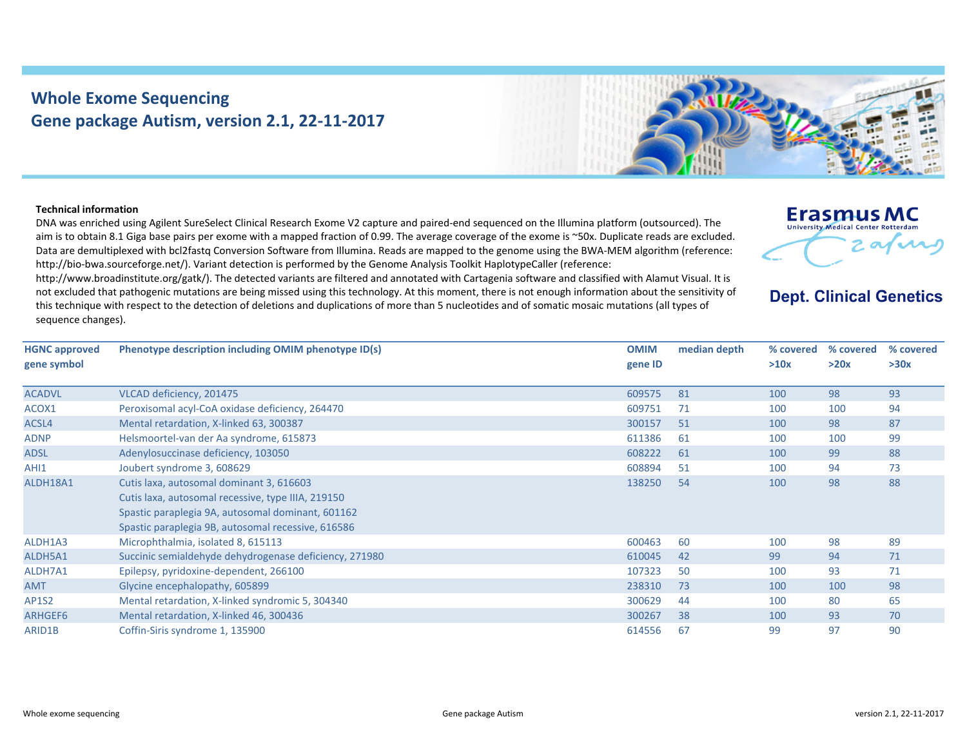## **Whole Exome Sequencing Gene package Autism, version 2.1, 22‐11‐2017**



## **Technical information**

DNA was enriched using Agilent SureSelect Clinical Research Exome V2 capture and paired‐end sequenced on the Illumina platform (outsourced). The aim is to obtain 8.1 Giga base pairs per exome with <sup>a</sup> mapped fraction of 0.99. The average coverage of the exome is ~50x. Duplicate reads are excluded. Data are demultiplexed with bcl2fastq Conversion Software from Illumina. Reads are mapped to the genome using the BWA‐MEM algorithm (reference: http://bio‐bwa.sourceforge.net/). Variant detection is performed by the Genome Analysis Toolkit HaplotypeCaller (reference:

http://www.broadinstitute.org/gatk/). The detected variants are filtered and annotated with Cartagenia software and classified with Alamut Visual. It is not excluded that pathogenic mutations are being missed using this technology. At this moment, there is not enough information about the sensitivity of this technique with respect to the detection of deletions and duplications of more than 5 nucleotides and of somatic mosaic mutations (all types of sequence changes).



## **Dept. Clinical Genetics**

| <b>HGNC approved</b><br>gene symbol | Phenotype description including OMIM phenotype ID(s)   | <b>OMIM</b><br>gene ID | median depth | % covered<br>>10x | % covered<br>>20x | % covered<br>>30x |
|-------------------------------------|--------------------------------------------------------|------------------------|--------------|-------------------|-------------------|-------------------|
| <b>ACADVL</b>                       | VLCAD deficiency, 201475                               | 609575                 | 81           | 100               | 98                | 93                |
| ACOX1                               | Peroxisomal acyl-CoA oxidase deficiency, 264470        | 609751                 | 71           | 100               | 100               | 94                |
| ACSL4                               | Mental retardation, X-linked 63, 300387                | 300157                 | 51           | 100               | 98                | 87                |
| <b>ADNP</b>                         | Helsmoortel-van der Aa syndrome, 615873                | 611386                 | 61           | 100               | 100               | 99                |
| <b>ADSL</b>                         | Adenylosuccinase deficiency, 103050                    | 608222                 | 61           | 100               | 99                | 88                |
| AHI1                                | Joubert syndrome 3, 608629                             | 608894                 | 51           | 100               | 94                | 73                |
| ALDH18A1                            | Cutis laxa, autosomal dominant 3, 616603               | 138250                 | 54           | 100               | 98                | 88                |
|                                     | Cutis laxa, autosomal recessive, type IIIA, 219150     |                        |              |                   |                   |                   |
|                                     | Spastic paraplegia 9A, autosomal dominant, 601162      |                        |              |                   |                   |                   |
|                                     | Spastic paraplegia 9B, autosomal recessive, 616586     |                        |              |                   |                   |                   |
| ALDH1A3                             | Microphthalmia, isolated 8, 615113                     | 600463                 | 60           | 100               | 98                | 89                |
| ALDH5A1                             | Succinic semialdehyde dehydrogenase deficiency, 271980 | 610045                 | 42           | 99                | 94                | 71                |
| ALDH7A1                             | Epilepsy, pyridoxine-dependent, 266100                 | 107323                 | 50           | 100               | 93                | 71                |
| <b>AMT</b>                          | Glycine encephalopathy, 605899                         | 238310                 | 73           | 100               | 100               | 98                |
| <b>AP1S2</b>                        | Mental retardation, X-linked syndromic 5, 304340       | 300629                 | 44           | 100               | 80                | 65                |
| ARHGEF6                             | Mental retardation, X-linked 46, 300436                | 300267                 | 38           | 100               | 93                | 70                |
| ARID1B                              | Coffin-Siris syndrome 1, 135900                        | 614556                 | 67           | 99                | 97                | 90                |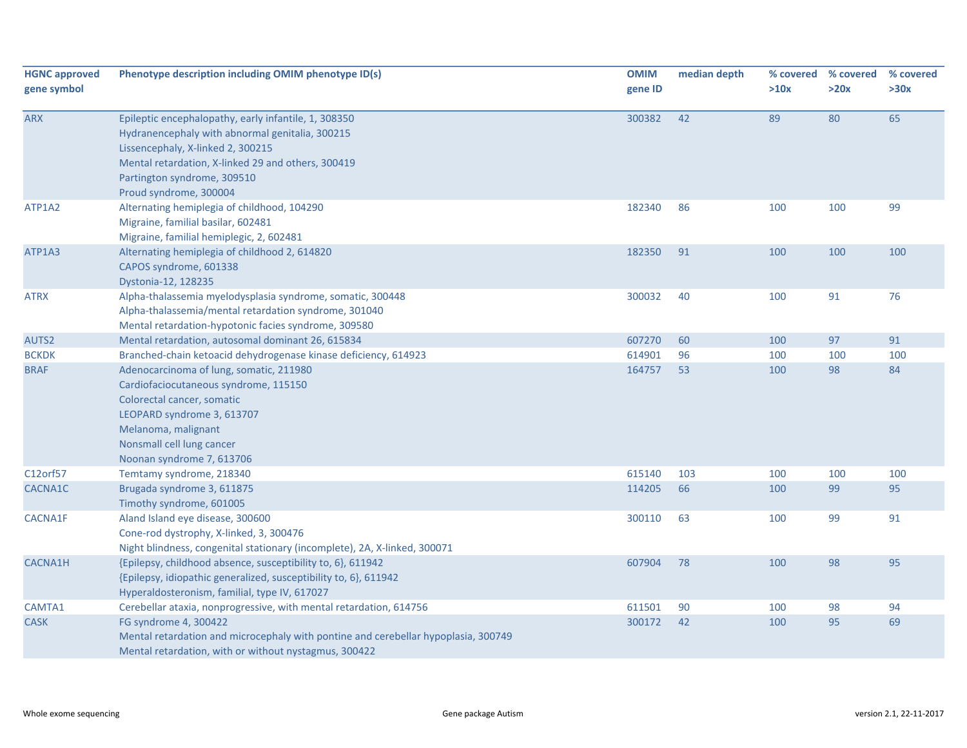| <b>HGNC approved</b> | Phenotype description including OMIM phenotype ID(s)                                                    | <b>OMIM</b> | median depth |            | % covered % covered | % covered |
|----------------------|---------------------------------------------------------------------------------------------------------|-------------|--------------|------------|---------------------|-----------|
| gene symbol          |                                                                                                         | gene ID     |              | >10x       | >20x                | >30x      |
|                      |                                                                                                         |             |              |            |                     |           |
| <b>ARX</b>           | Epileptic encephalopathy, early infantile, 1, 308350<br>Hydranencephaly with abnormal genitalia, 300215 | 300382      | 42           | 89         | 80                  | 65        |
|                      | Lissencephaly, X-linked 2, 300215                                                                       |             |              |            |                     |           |
|                      | Mental retardation, X-linked 29 and others, 300419                                                      |             |              |            |                     |           |
|                      | Partington syndrome, 309510                                                                             |             |              |            |                     |           |
|                      | Proud syndrome, 300004                                                                                  |             |              |            |                     |           |
| ATP1A2               | Alternating hemiplegia of childhood, 104290                                                             | 182340      | 86           | 100        | 100                 | 99        |
|                      | Migraine, familial basilar, 602481                                                                      |             |              |            |                     |           |
|                      | Migraine, familial hemiplegic, 2, 602481                                                                |             |              |            |                     |           |
| ATP1A3               | Alternating hemiplegia of childhood 2, 614820                                                           | 182350      | 91           | 100        | 100                 | 100       |
|                      | CAPOS syndrome, 601338                                                                                  |             |              |            |                     |           |
|                      | Dystonia-12, 128235                                                                                     |             |              |            |                     |           |
| <b>ATRX</b>          | Alpha-thalassemia myelodysplasia syndrome, somatic, 300448                                              | 300032      | 40           | 100        | 91                  | 76        |
|                      | Alpha-thalassemia/mental retardation syndrome, 301040                                                   |             |              |            |                     |           |
|                      | Mental retardation-hypotonic facies syndrome, 309580                                                    |             |              |            |                     |           |
| AUTS2                | Mental retardation, autosomal dominant 26, 615834                                                       | 607270      | 60           | 100        | 97                  | 91        |
| <b>BCKDK</b>         | Branched-chain ketoacid dehydrogenase kinase deficiency, 614923                                         | 614901      | 96           | 100        | 100                 | 100       |
| <b>BRAF</b>          | Adenocarcinoma of lung, somatic, 211980                                                                 | 164757      | 53           | 100        | 98                  | 84        |
|                      | Cardiofaciocutaneous syndrome, 115150                                                                   |             |              |            |                     |           |
|                      | Colorectal cancer, somatic                                                                              |             |              |            |                     |           |
|                      | LEOPARD syndrome 3, 613707                                                                              |             |              |            |                     |           |
|                      | Melanoma, malignant                                                                                     |             |              |            |                     |           |
|                      | Nonsmall cell lung cancer                                                                               |             |              |            |                     |           |
| C12orf57             | Noonan syndrome 7, 613706<br>Temtamy syndrome, 218340                                                   | 615140      | 103          |            |                     | 100       |
| CACNA1C              | Brugada syndrome 3, 611875                                                                              | 114205      | 66           | 100<br>100 | 100<br>99           | 95        |
|                      | Timothy syndrome, 601005                                                                                |             |              |            |                     |           |
| CACNA1F              | Aland Island eye disease, 300600                                                                        | 300110      | 63           | 100        | 99                  | 91        |
|                      | Cone-rod dystrophy, X-linked, 3, 300476                                                                 |             |              |            |                     |           |
|                      | Night blindness, congenital stationary (incomplete), 2A, X-linked, 300071                               |             |              |            |                     |           |
| <b>CACNA1H</b>       | {Epilepsy, childhood absence, susceptibility to, 6}, 611942                                             | 607904      | 78           | 100        | 98                  | 95        |
|                      | {Epilepsy, idiopathic generalized, susceptibility to, 6}, 611942                                        |             |              |            |                     |           |
|                      | Hyperaldosteronism, familial, type IV, 617027                                                           |             |              |            |                     |           |
| CAMTA1               | Cerebellar ataxia, nonprogressive, with mental retardation, 614756                                      | 611501      | 90           | 100        | 98                  | 94        |
| <b>CASK</b>          | FG syndrome 4, 300422                                                                                   | 300172      | 42           | 100        | 95                  | 69        |
|                      | Mental retardation and microcephaly with pontine and cerebellar hypoplasia, 300749                      |             |              |            |                     |           |
|                      | Mental retardation, with or without nystagmus, 300422                                                   |             |              |            |                     |           |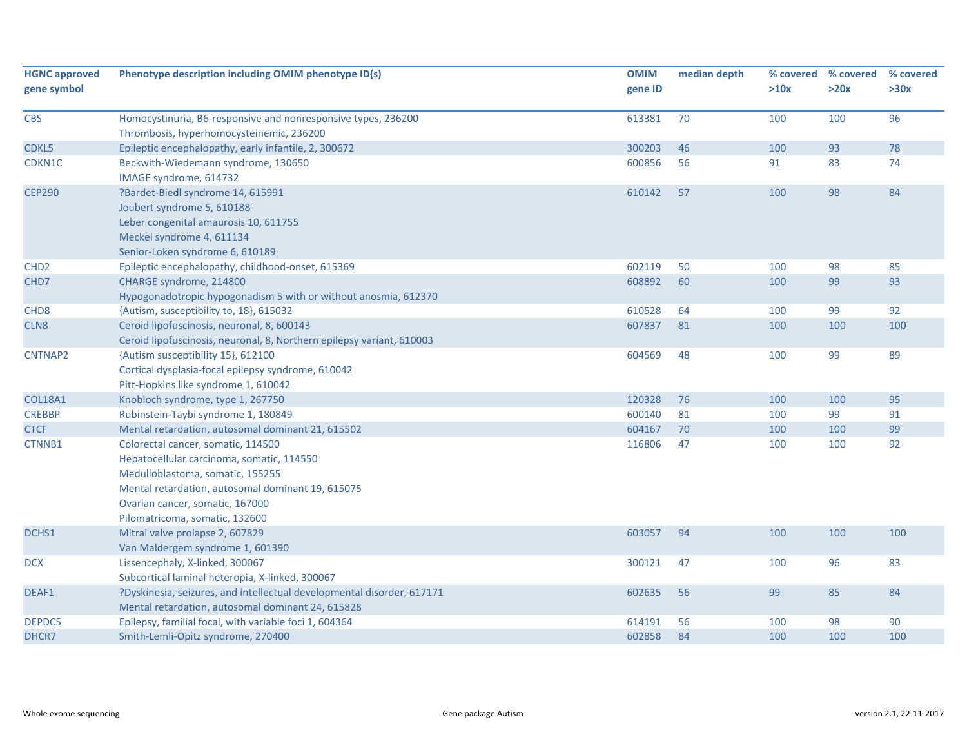| <b>HGNC approved</b> | Phenotype description including OMIM phenotype ID(s)                                                                                                                                                                                          | <b>OMIM</b> | median depth | % covered | % covered | % covered |
|----------------------|-----------------------------------------------------------------------------------------------------------------------------------------------------------------------------------------------------------------------------------------------|-------------|--------------|-----------|-----------|-----------|
| gene symbol          |                                                                                                                                                                                                                                               | gene ID     |              | >10x      | >20x      | >30x      |
| <b>CBS</b>           | Homocystinuria, B6-responsive and nonresponsive types, 236200<br>Thrombosis, hyperhomocysteinemic, 236200                                                                                                                                     | 613381      | 70           | 100       | 100       | 96        |
| CDKL5                | Epileptic encephalopathy, early infantile, 2, 300672                                                                                                                                                                                          | 300203      | 46           | 100       | 93        | 78        |
| CDKN1C               | Beckwith-Wiedemann syndrome, 130650<br>IMAGE syndrome, 614732                                                                                                                                                                                 | 600856      | 56           | 91        | 83        | 74        |
| <b>CEP290</b>        | ?Bardet-Biedl syndrome 14, 615991<br>Joubert syndrome 5, 610188<br>Leber congenital amaurosis 10, 611755<br>Meckel syndrome 4, 611134<br>Senior-Loken syndrome 6, 610189                                                                      | 610142      | 57           | 100       | 98        | 84        |
| CHD <sub>2</sub>     | Epileptic encephalopathy, childhood-onset, 615369                                                                                                                                                                                             | 602119      | 50           | 100       | 98        | 85        |
| CHD7                 | CHARGE syndrome, 214800<br>Hypogonadotropic hypogonadism 5 with or without anosmia, 612370                                                                                                                                                    | 608892      | 60           | 100       | 99        | 93        |
| CHD <sub>8</sub>     | {Autism, susceptibility to, 18}, 615032                                                                                                                                                                                                       | 610528      | 64           | 100       | 99        | 92        |
| CLN <sub>8</sub>     | Ceroid lipofuscinosis, neuronal, 8, 600143<br>Ceroid lipofuscinosis, neuronal, 8, Northern epilepsy variant, 610003                                                                                                                           | 607837      | 81           | 100       | 100       | 100       |
| CNTNAP2              | {Autism susceptibility 15}, 612100<br>Cortical dysplasia-focal epilepsy syndrome, 610042<br>Pitt-Hopkins like syndrome 1, 610042                                                                                                              | 604569      | 48           | 100       | 99        | 89        |
| <b>COL18A1</b>       | Knobloch syndrome, type 1, 267750                                                                                                                                                                                                             | 120328      | 76           | 100       | 100       | 95        |
| <b>CREBBP</b>        | Rubinstein-Taybi syndrome 1, 180849                                                                                                                                                                                                           | 600140      | 81           | 100       | 99        | 91        |
| <b>CTCF</b>          | Mental retardation, autosomal dominant 21, 615502                                                                                                                                                                                             | 604167      | 70           | 100       | 100       | 99        |
| CTNNB1               | Colorectal cancer, somatic, 114500<br>Hepatocellular carcinoma, somatic, 114550<br>Medulloblastoma, somatic, 155255<br>Mental retardation, autosomal dominant 19, 615075<br>Ovarian cancer, somatic, 167000<br>Pilomatricoma, somatic, 132600 | 116806      | 47           | 100       | 100       | 92        |
| DCHS1                | Mitral valve prolapse 2, 607829<br>Van Maldergem syndrome 1, 601390                                                                                                                                                                           | 603057      | 94           | 100       | 100       | 100       |
| <b>DCX</b>           | Lissencephaly, X-linked, 300067<br>Subcortical laminal heteropia, X-linked, 300067                                                                                                                                                            | 300121      | 47           | 100       | 96        | 83        |
| DEAF1                | ?Dyskinesia, seizures, and intellectual developmental disorder, 617171<br>Mental retardation, autosomal dominant 24, 615828                                                                                                                   | 602635      | 56           | 99        | 85        | 84        |
| DEPDC5               | Epilepsy, familial focal, with variable foci 1, 604364                                                                                                                                                                                        | 614191      | 56           | 100       | 98        | 90        |
| DHCR7                | Smith-Lemli-Opitz syndrome, 270400                                                                                                                                                                                                            | 602858      | 84           | 100       | 100       | 100       |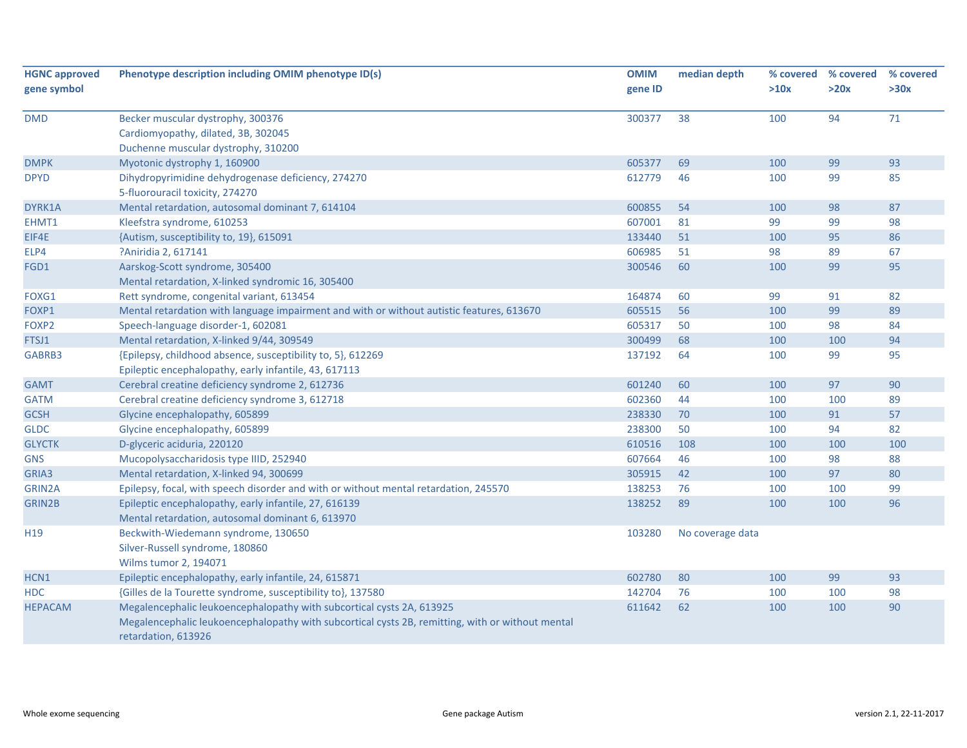| <b>HGNC approved</b> | Phenotype description including OMIM phenotype ID(s)                                                                    | <b>OMIM</b> | median depth     | % covered | % covered | % covered |
|----------------------|-------------------------------------------------------------------------------------------------------------------------|-------------|------------------|-----------|-----------|-----------|
| gene symbol          |                                                                                                                         | gene ID     |                  | >10x      | >20x      | >30x      |
| <b>DMD</b>           | Becker muscular dystrophy, 300376                                                                                       | 300377      | 38               | 100       | 94        | 71        |
|                      | Cardiomyopathy, dilated, 3B, 302045                                                                                     |             |                  |           |           |           |
|                      | Duchenne muscular dystrophy, 310200                                                                                     |             |                  |           |           |           |
| <b>DMPK</b>          | Myotonic dystrophy 1, 160900                                                                                            | 605377      | 69               | 100       | 99        | 93        |
| <b>DPYD</b>          | Dihydropyrimidine dehydrogenase deficiency, 274270                                                                      | 612779      | 46               | 100       | 99        | 85        |
|                      | 5-fluorouracil toxicity, 274270                                                                                         |             |                  |           |           |           |
| DYRK1A               | Mental retardation, autosomal dominant 7, 614104                                                                        | 600855      | 54               | 100       | 98        | 87        |
| EHMT1                | Kleefstra syndrome, 610253                                                                                              | 607001      | 81               | 99        | 99        | 98        |
| EIF4E                | {Autism, susceptibility to, 19}, 615091                                                                                 | 133440      | 51               | 100       | 95        | 86        |
| ELP4                 | ?Aniridia 2, 617141                                                                                                     | 606985      | 51               | 98        | 89        | 67        |
| FGD1                 | Aarskog-Scott syndrome, 305400                                                                                          | 300546      | 60               | 100       | 99        | 95        |
|                      | Mental retardation, X-linked syndromic 16, 305400                                                                       |             |                  |           |           |           |
| FOXG1                | Rett syndrome, congenital variant, 613454                                                                               | 164874      | 60               | 99        | 91        | 82        |
| FOXP1                | Mental retardation with language impairment and with or without autistic features, 613670                               | 605515      | 56               | 100       | 99        | 89        |
| FOXP2                | Speech-language disorder-1, 602081                                                                                      | 605317      | 50               | 100       | 98        | 84        |
| FTSJ1                | Mental retardation, X-linked 9/44, 309549                                                                               | 300499      | 68               | 100       | 100       | 94        |
| GABRB3               | {Epilepsy, childhood absence, susceptibility to, 5}, 612269                                                             | 137192      | 64               | 100       | 99        | 95        |
|                      | Epileptic encephalopathy, early infantile, 43, 617113                                                                   |             |                  |           |           |           |
| <b>GAMT</b>          | Cerebral creatine deficiency syndrome 2, 612736                                                                         | 601240      | 60               | 100       | 97        | 90        |
| <b>GATM</b>          | Cerebral creatine deficiency syndrome 3, 612718                                                                         | 602360      | 44               | 100       | 100       | 89        |
| <b>GCSH</b>          | Glycine encephalopathy, 605899                                                                                          | 238330      | 70               | 100       | 91        | 57        |
| <b>GLDC</b>          | Glycine encephalopathy, 605899                                                                                          | 238300      | 50               | 100       | 94        | 82        |
| <b>GLYCTK</b>        | D-glyceric aciduria, 220120                                                                                             | 610516      | 108              | 100       | 100       | 100       |
| <b>GNS</b>           | Mucopolysaccharidosis type IIID, 252940                                                                                 | 607664      | 46               | 100       | 98        | 88        |
| GRIA3                | Mental retardation, X-linked 94, 300699                                                                                 | 305915      | 42               | 100       | 97        | 80        |
| GRIN2A               | Epilepsy, focal, with speech disorder and with or without mental retardation, 245570                                    | 138253      | 76               | 100       | 100       | 99        |
| GRIN2B               | Epileptic encephalopathy, early infantile, 27, 616139                                                                   | 138252      | 89               | 100       | 100       | 96        |
|                      | Mental retardation, autosomal dominant 6, 613970                                                                        |             |                  |           |           |           |
| H <sub>19</sub>      | Beckwith-Wiedemann syndrome, 130650                                                                                     | 103280      | No coverage data |           |           |           |
|                      | Silver-Russell syndrome, 180860                                                                                         |             |                  |           |           |           |
|                      | Wilms tumor 2, 194071                                                                                                   |             |                  |           |           |           |
| HCN1                 | Epileptic encephalopathy, early infantile, 24, 615871                                                                   | 602780      | 80               | 100       | 99        | 93        |
| <b>HDC</b>           | {Gilles de la Tourette syndrome, susceptibility to}, 137580                                                             | 142704      | 76               | 100       | 100       | 98        |
| <b>HEPACAM</b>       | Megalencephalic leukoencephalopathy with subcortical cysts 2A, 613925                                                   | 611642      | 62               | 100       | 100       | 90        |
|                      | Megalencephalic leukoencephalopathy with subcortical cysts 2B, remitting, with or without mental<br>retardation, 613926 |             |                  |           |           |           |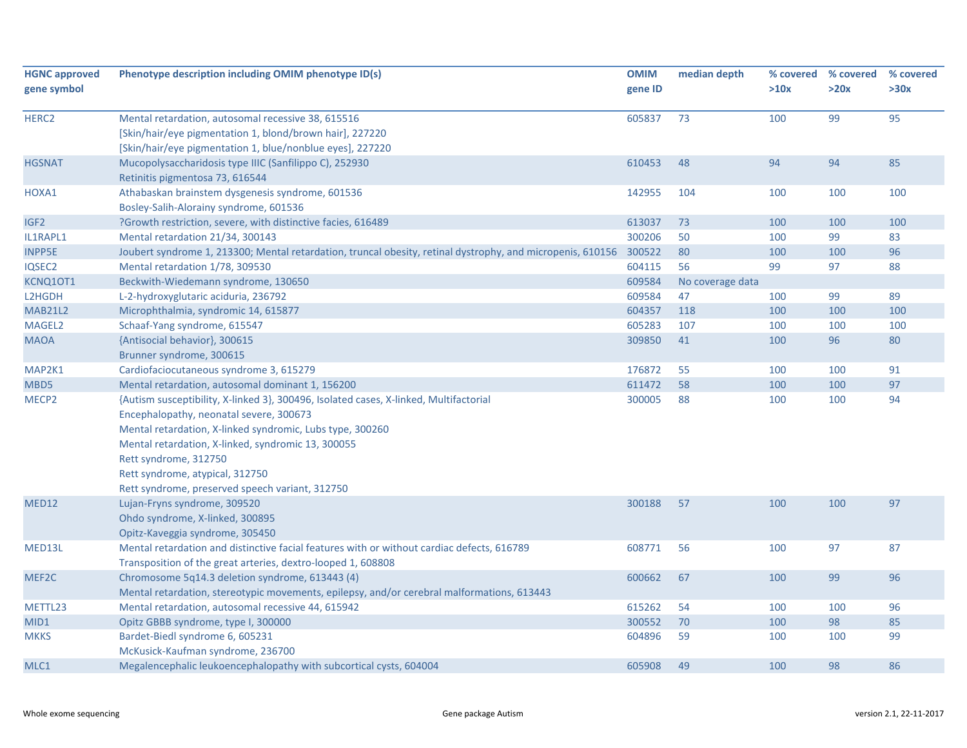| <b>HGNC</b> approved | Phenotype description including OMIM phenotype ID(s)                                                              | <b>OMIM</b> | median depth     |      | % covered % covered | % covered |
|----------------------|-------------------------------------------------------------------------------------------------------------------|-------------|------------------|------|---------------------|-----------|
| gene symbol          |                                                                                                                   | gene ID     |                  | >10x | >20x                | >30x      |
| HERC <sub>2</sub>    | Mental retardation, autosomal recessive 38, 615516                                                                | 605837      | 73               | 100  | 99                  | 95        |
|                      | [Skin/hair/eye pigmentation 1, blond/brown hair], 227220                                                          |             |                  |      |                     |           |
|                      | [Skin/hair/eye pigmentation 1, blue/nonblue eyes], 227220                                                         |             |                  |      |                     |           |
| <b>HGSNAT</b>        | Mucopolysaccharidosis type IIIC (Sanfilippo C), 252930                                                            | 610453      | 48               | 94   | 94                  | 85        |
|                      | Retinitis pigmentosa 73, 616544                                                                                   |             |                  |      |                     |           |
| HOXA1                | Athabaskan brainstem dysgenesis syndrome, 601536                                                                  | 142955      | 104              | 100  | 100                 | 100       |
|                      | Bosley-Salih-Alorainy syndrome, 601536                                                                            |             |                  |      |                     |           |
| IGF <sub>2</sub>     | ?Growth restriction, severe, with distinctive facies, 616489                                                      | 613037      | 73               | 100  | 100                 | 100       |
| IL1RAPL1             | Mental retardation 21/34, 300143                                                                                  | 300206      | 50               | 100  | 99                  | 83        |
| <b>INPP5E</b>        | Joubert syndrome 1, 213300; Mental retardation, truncal obesity, retinal dystrophy, and micropenis, 610156 300522 |             | 80               | 100  | 100                 | 96        |
| IQSEC2               | Mental retardation 1/78, 309530                                                                                   | 604115      | 56               | 99   | 97                  | 88        |
| KCNQ10T1             | Beckwith-Wiedemann syndrome, 130650                                                                               | 609584      | No coverage data |      |                     |           |
| L2HGDH               | L-2-hydroxyglutaric aciduria, 236792                                                                              | 609584      | 47               | 100  | 99                  | 89        |
| <b>MAB21L2</b>       | Microphthalmia, syndromic 14, 615877                                                                              | 604357      | 118              | 100  | 100                 | 100       |
| MAGEL2               | Schaaf-Yang syndrome, 615547                                                                                      | 605283      | 107              | 100  | 100                 | 100       |
| <b>MAOA</b>          | {Antisocial behavior}, 300615                                                                                     | 309850      | 41               | 100  | 96                  | 80        |
|                      | Brunner syndrome, 300615                                                                                          |             |                  |      |                     |           |
| MAP2K1               | Cardiofaciocutaneous syndrome 3, 615279                                                                           | 176872      | 55               | 100  | 100                 | 91        |
| MBD5                 | Mental retardation, autosomal dominant 1, 156200                                                                  | 611472      | 58               | 100  | 100                 | 97        |
| MECP <sub>2</sub>    | {Autism susceptibility, X-linked 3}, 300496, Isolated cases, X-linked, Multifactorial                             | 300005      | 88               | 100  | 100                 | 94        |
|                      | Encephalopathy, neonatal severe, 300673                                                                           |             |                  |      |                     |           |
|                      | Mental retardation, X-linked syndromic, Lubs type, 300260                                                         |             |                  |      |                     |           |
|                      | Mental retardation, X-linked, syndromic 13, 300055                                                                |             |                  |      |                     |           |
|                      | Rett syndrome, 312750                                                                                             |             |                  |      |                     |           |
|                      | Rett syndrome, atypical, 312750                                                                                   |             |                  |      |                     |           |
|                      | Rett syndrome, preserved speech variant, 312750                                                                   |             |                  |      |                     |           |
| <b>MED12</b>         | Lujan-Fryns syndrome, 309520                                                                                      | 300188      | 57               | 100  | 100                 | 97        |
|                      | Ohdo syndrome, X-linked, 300895                                                                                   |             |                  |      |                     |           |
|                      | Opitz-Kaveggia syndrome, 305450                                                                                   |             |                  |      |                     |           |
| MED13L               | Mental retardation and distinctive facial features with or without cardiac defects, 616789                        | 608771      | 56               | 100  | 97                  | 87        |
|                      | Transposition of the great arteries, dextro-looped 1, 608808                                                      |             |                  |      |                     |           |
| MEF2C                | Chromosome 5q14.3 deletion syndrome, 613443 (4)                                                                   | 600662      | 67               | 100  | 99                  | 96        |
|                      | Mental retardation, stereotypic movements, epilepsy, and/or cerebral malformations, 613443                        |             |                  |      |                     |           |
| METTL23              | Mental retardation, autosomal recessive 44, 615942                                                                | 615262      | 54               | 100  | 100                 | 96        |
| MID1                 | Opitz GBBB syndrome, type I, 300000                                                                               | 300552      | 70               | 100  | 98                  | 85        |
| <b>MKKS</b>          | Bardet-Biedl syndrome 6, 605231                                                                                   | 604896      | 59               | 100  | 100                 | 99        |
|                      | McKusick-Kaufman syndrome, 236700                                                                                 |             |                  |      |                     |           |
| MLC1                 | Megalencephalic leukoencephalopathy with subcortical cysts, 604004                                                | 605908      | 49               | 100  | 98                  | 86        |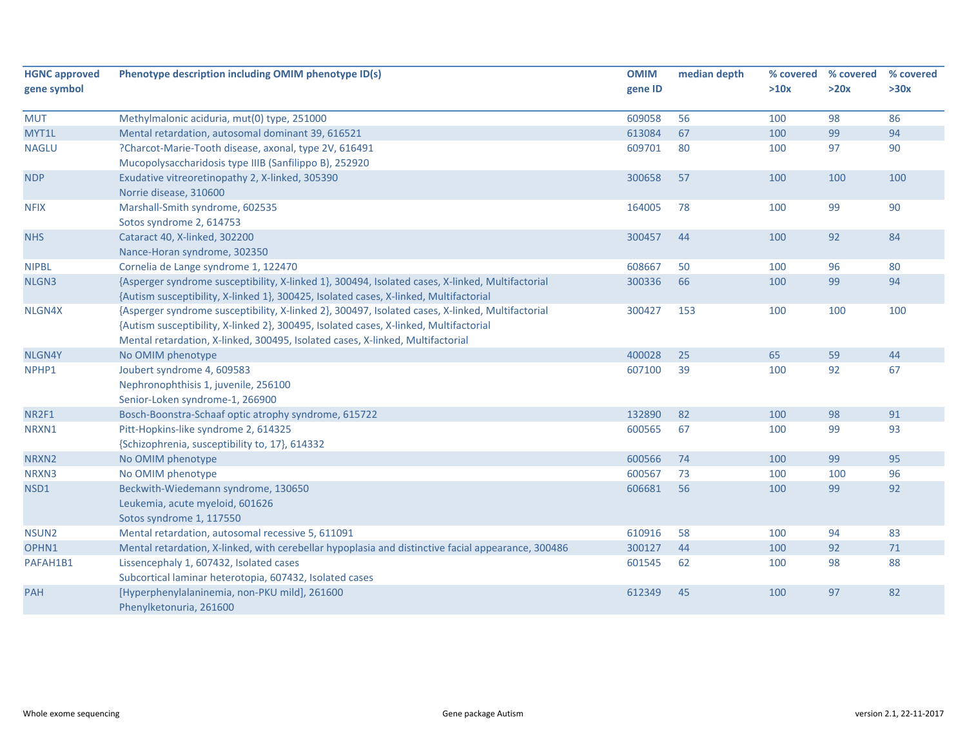| <b>HGNC approved</b> | Phenotype description including OMIM phenotype ID(s)                                                                                                                                                                                                                        | <b>OMIM</b> | median depth | % covered | % covered | % covered |
|----------------------|-----------------------------------------------------------------------------------------------------------------------------------------------------------------------------------------------------------------------------------------------------------------------------|-------------|--------------|-----------|-----------|-----------|
| gene symbol          |                                                                                                                                                                                                                                                                             | gene ID     |              | >10x      | >20x      | >30x      |
| <b>MUT</b>           | Methylmalonic aciduria, mut(0) type, 251000                                                                                                                                                                                                                                 | 609058      | 56           | 100       | 98        | 86        |
| MYT1L                | Mental retardation, autosomal dominant 39, 616521                                                                                                                                                                                                                           | 613084      | 67           | 100       | 99        | 94        |
| <b>NAGLU</b>         | ?Charcot-Marie-Tooth disease, axonal, type 2V, 616491<br>Mucopolysaccharidosis type IIIB (Sanfilippo B), 252920                                                                                                                                                             | 609701      | 80           | 100       | 97        | 90        |
| <b>NDP</b>           | Exudative vitreoretinopathy 2, X-linked, 305390<br>Norrie disease, 310600                                                                                                                                                                                                   | 300658      | 57           | 100       | 100       | 100       |
| <b>NFIX</b>          | Marshall-Smith syndrome, 602535<br>Sotos syndrome 2, 614753                                                                                                                                                                                                                 | 164005      | 78           | 100       | 99        | 90        |
| <b>NHS</b>           | Cataract 40, X-linked, 302200<br>Nance-Horan syndrome, 302350                                                                                                                                                                                                               | 300457      | 44           | 100       | 92        | 84        |
| <b>NIPBL</b>         | Cornelia de Lange syndrome 1, 122470                                                                                                                                                                                                                                        | 608667      | 50           | 100       | 96        | 80        |
| NLGN3                | {Asperger syndrome susceptibility, X-linked 1}, 300494, Isolated cases, X-linked, Multifactorial<br>{Autism susceptibility, X-linked 1}, 300425, Isolated cases, X-linked, Multifactorial                                                                                   | 300336      | 66           | 100       | 99        | 94        |
| NLGN4X               | {Asperger syndrome susceptibility, X-linked 2}, 300497, Isolated cases, X-linked, Multifactorial<br>{Autism susceptibility, X-linked 2}, 300495, Isolated cases, X-linked, Multifactorial<br>Mental retardation, X-linked, 300495, Isolated cases, X-linked, Multifactorial | 300427      | 153          | 100       | 100       | 100       |
| NLGN4Y               | No OMIM phenotype                                                                                                                                                                                                                                                           | 400028      | 25           | 65        | 59        | 44        |
| NPHP1                | Joubert syndrome 4, 609583<br>Nephronophthisis 1, juvenile, 256100<br>Senior-Loken syndrome-1, 266900                                                                                                                                                                       | 607100      | 39           | 100       | 92        | 67        |
| NR2F1                | Bosch-Boonstra-Schaaf optic atrophy syndrome, 615722                                                                                                                                                                                                                        | 132890      | 82           | 100       | 98        | 91        |
| NRXN1                | Pitt-Hopkins-like syndrome 2, 614325<br>{Schizophrenia, susceptibility to, 17}, 614332                                                                                                                                                                                      | 600565      | 67           | 100       | 99        | 93        |
| NRXN2                | No OMIM phenotype                                                                                                                                                                                                                                                           | 600566      | 74           | 100       | 99        | 95        |
| NRXN3                | No OMIM phenotype                                                                                                                                                                                                                                                           | 600567      | 73           | 100       | 100       | 96        |
| NSD1                 | Beckwith-Wiedemann syndrome, 130650<br>Leukemia, acute myeloid, 601626<br>Sotos syndrome 1, 117550                                                                                                                                                                          | 606681      | 56           | 100       | 99        | 92        |
| NSUN <sub>2</sub>    | Mental retardation, autosomal recessive 5, 611091                                                                                                                                                                                                                           | 610916      | 58           | 100       | 94        | 83        |
| OPHN1                | Mental retardation, X-linked, with cerebellar hypoplasia and distinctive facial appearance, 300486                                                                                                                                                                          | 300127      | 44           | 100       | 92        | $71\,$    |
| PAFAH1B1             | Lissencephaly 1, 607432, Isolated cases<br>Subcortical laminar heterotopia, 607432, Isolated cases                                                                                                                                                                          | 601545      | 62           | 100       | 98        | 88        |
| <b>PAH</b>           | [Hyperphenylalaninemia, non-PKU mild], 261600<br>Phenylketonuria, 261600                                                                                                                                                                                                    | 612349      | 45           | 100       | 97        | 82        |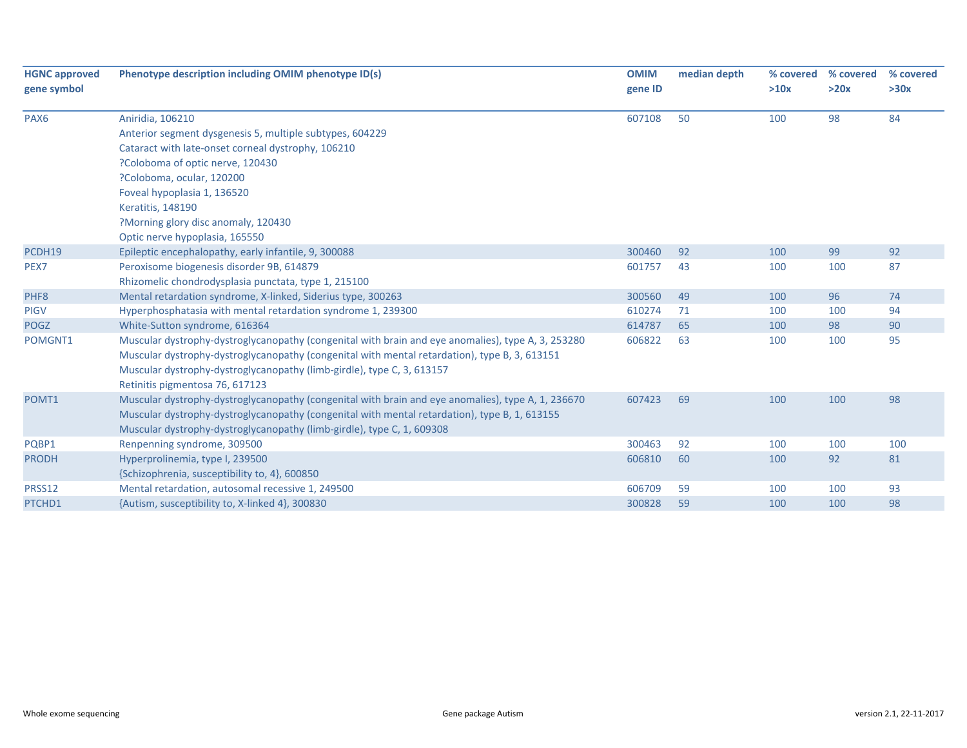| <b>HGNC approved</b> | Phenotype description including OMIM phenotype ID(s)                                               | <b>OMIM</b> | median depth | % covered | % covered | % covered |
|----------------------|----------------------------------------------------------------------------------------------------|-------------|--------------|-----------|-----------|-----------|
| gene symbol          |                                                                                                    | gene ID     |              | >10x      | >20x      | >30x      |
| PAX <sub>6</sub>     | Aniridia, 106210                                                                                   | 607108      | 50           | 100       | 98        | 84        |
|                      | Anterior segment dysgenesis 5, multiple subtypes, 604229                                           |             |              |           |           |           |
|                      | Cataract with late-onset corneal dystrophy, 106210                                                 |             |              |           |           |           |
|                      | ?Coloboma of optic nerve, 120430                                                                   |             |              |           |           |           |
|                      | ?Coloboma, ocular, 120200                                                                          |             |              |           |           |           |
|                      | Foveal hypoplasia 1, 136520                                                                        |             |              |           |           |           |
|                      | Keratitis, 148190                                                                                  |             |              |           |           |           |
|                      | ?Morning glory disc anomaly, 120430                                                                |             |              |           |           |           |
|                      | Optic nerve hypoplasia, 165550                                                                     |             |              |           |           |           |
| PCDH19               | Epileptic encephalopathy, early infantile, 9, 300088                                               | 300460      | 92           | 100       | 99        | 92        |
| PEX7                 | Peroxisome biogenesis disorder 9B, 614879                                                          | 601757      | 43           | 100       | 100       | 87        |
|                      | Rhizomelic chondrodysplasia punctata, type 1, 215100                                               |             |              |           |           |           |
| PHF8                 | Mental retardation syndrome, X-linked, Siderius type, 300263                                       | 300560      | 49           | 100       | 96        | 74        |
| <b>PIGV</b>          | Hyperphosphatasia with mental retardation syndrome 1, 239300                                       | 610274      | 71           | 100       | 100       | 94        |
| <b>POGZ</b>          | White-Sutton syndrome, 616364                                                                      | 614787      | 65           | 100       | 98        | 90        |
| POMGNT1              | Muscular dystrophy-dystroglycanopathy (congenital with brain and eye anomalies), type A, 3, 253280 | 606822      | 63           | 100       | 100       | 95        |
|                      | Muscular dystrophy-dystroglycanopathy (congenital with mental retardation), type B, 3, 613151      |             |              |           |           |           |
|                      | Muscular dystrophy-dystroglycanopathy (limb-girdle), type C, 3, 613157                             |             |              |           |           |           |
|                      | Retinitis pigmentosa 76, 617123                                                                    |             |              |           |           |           |
| POMT1                | Muscular dystrophy-dystroglycanopathy (congenital with brain and eye anomalies), type A, 1, 236670 | 607423      | 69           | 100       | 100       | 98        |
|                      | Muscular dystrophy-dystroglycanopathy (congenital with mental retardation), type B, 1, 613155      |             |              |           |           |           |
|                      | Muscular dystrophy-dystroglycanopathy (limb-girdle), type C, 1, 609308                             |             |              |           |           |           |
| PQBP1                | Renpenning syndrome, 309500                                                                        | 300463      | 92           | 100       | 100       | 100       |
| <b>PRODH</b>         | Hyperprolinemia, type I, 239500                                                                    | 606810      | 60           | 100       | 92        | 81        |
|                      | {Schizophrenia, susceptibility to, 4}, 600850                                                      |             |              |           |           |           |
| PRSS12               | Mental retardation, autosomal recessive 1, 249500                                                  | 606709      | 59           | 100       | 100       | 93        |
| PTCHD1               | {Autism, susceptibility to, X-linked 4}, 300830                                                    | 300828      | 59           | 100       | 100       | 98        |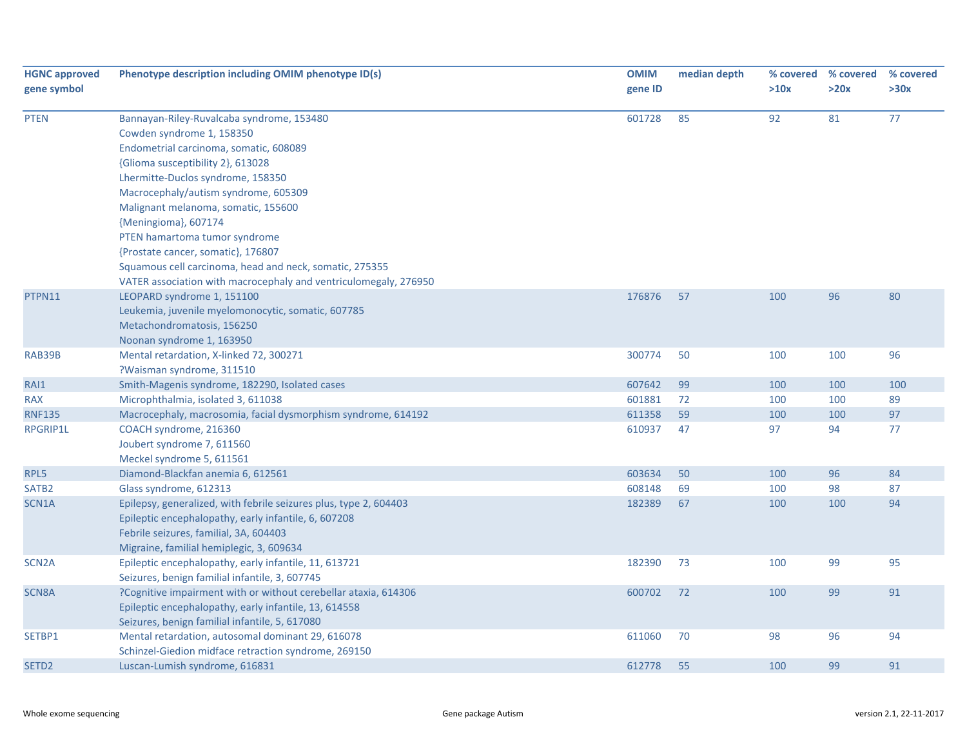| <b>HGNC</b> approved | Phenotype description including OMIM phenotype ID(s)              | <b>OMIM</b> | median depth |      | % covered % covered | % covered |
|----------------------|-------------------------------------------------------------------|-------------|--------------|------|---------------------|-----------|
| gene symbol          |                                                                   | gene ID     |              | >10x | >20x                | >30x      |
| <b>PTEN</b>          | Bannayan-Riley-Ruvalcaba syndrome, 153480                         | 601728      | 85           | 92   | 81                  | 77        |
|                      | Cowden syndrome 1, 158350                                         |             |              |      |                     |           |
|                      | Endometrial carcinoma, somatic, 608089                            |             |              |      |                     |           |
|                      | {Glioma susceptibility 2}, 613028                                 |             |              |      |                     |           |
|                      | Lhermitte-Duclos syndrome, 158350                                 |             |              |      |                     |           |
|                      | Macrocephaly/autism syndrome, 605309                              |             |              |      |                     |           |
|                      | Malignant melanoma, somatic, 155600                               |             |              |      |                     |           |
|                      | {Meningioma}, 607174                                              |             |              |      |                     |           |
|                      | PTEN hamartoma tumor syndrome                                     |             |              |      |                     |           |
|                      | {Prostate cancer, somatic}, 176807                                |             |              |      |                     |           |
|                      | Squamous cell carcinoma, head and neck, somatic, 275355           |             |              |      |                     |           |
|                      | VATER association with macrocephaly and ventriculomegaly, 276950  |             |              |      |                     |           |
| PTPN11               | LEOPARD syndrome 1, 151100                                        | 176876      | 57           | 100  | 96                  | 80        |
|                      | Leukemia, juvenile myelomonocytic, somatic, 607785                |             |              |      |                     |           |
|                      | Metachondromatosis, 156250                                        |             |              |      |                     |           |
|                      | Noonan syndrome 1, 163950                                         |             |              |      |                     |           |
| RAB39B               | Mental retardation, X-linked 72, 300271                           | 300774      | 50           | 100  | 100                 | 96        |
|                      | ?Waisman syndrome, 311510                                         |             |              |      |                     |           |
| RAI1                 | Smith-Magenis syndrome, 182290, Isolated cases                    | 607642      | 99           | 100  | 100                 | 100       |
| <b>RAX</b>           | Microphthalmia, isolated 3, 611038                                | 601881      | 72           | 100  | 100                 | 89        |
| <b>RNF135</b>        | Macrocephaly, macrosomia, facial dysmorphism syndrome, 614192     | 611358      | 59           | 100  | 100                 | 97        |
| <b>RPGRIP1L</b>      | COACH syndrome, 216360                                            | 610937      | 47           | 97   | 94                  | 77        |
|                      | Joubert syndrome 7, 611560                                        |             |              |      |                     |           |
|                      | Meckel syndrome 5, 611561                                         |             |              |      |                     |           |
| RPL5                 | Diamond-Blackfan anemia 6, 612561                                 | 603634      | 50           | 100  | 96                  | 84        |
| SATB <sub>2</sub>    | Glass syndrome, 612313                                            | 608148      | 69           | 100  | 98                  | 87        |
| SCN1A                | Epilepsy, generalized, with febrile seizures plus, type 2, 604403 | 182389      | 67           | 100  | 100                 | 94        |
|                      | Epileptic encephalopathy, early infantile, 6, 607208              |             |              |      |                     |           |
|                      | Febrile seizures, familial, 3A, 604403                            |             |              |      |                     |           |
|                      | Migraine, familial hemiplegic, 3, 609634                          |             |              |      |                     |           |
| SCN <sub>2</sub> A   | Epileptic encephalopathy, early infantile, 11, 613721             | 182390      | 73           | 100  | 99                  | 95        |
|                      | Seizures, benign familial infantile, 3, 607745                    |             |              |      |                     |           |
| SCN8A                | ?Cognitive impairment with or without cerebellar ataxia, 614306   | 600702      | 72           | 100  | 99                  | 91        |
|                      | Epileptic encephalopathy, early infantile, 13, 614558             |             |              |      |                     |           |
|                      | Seizures, benign familial infantile, 5, 617080                    |             |              |      |                     |           |
| SETBP1               | Mental retardation, autosomal dominant 29, 616078                 | 611060      | 70           | 98   | 96                  | 94        |
|                      | Schinzel-Giedion midface retraction syndrome, 269150              |             |              |      |                     |           |
| SETD <sub>2</sub>    | Luscan-Lumish syndrome, 616831                                    | 612778      | 55           | 100  | 99                  | 91        |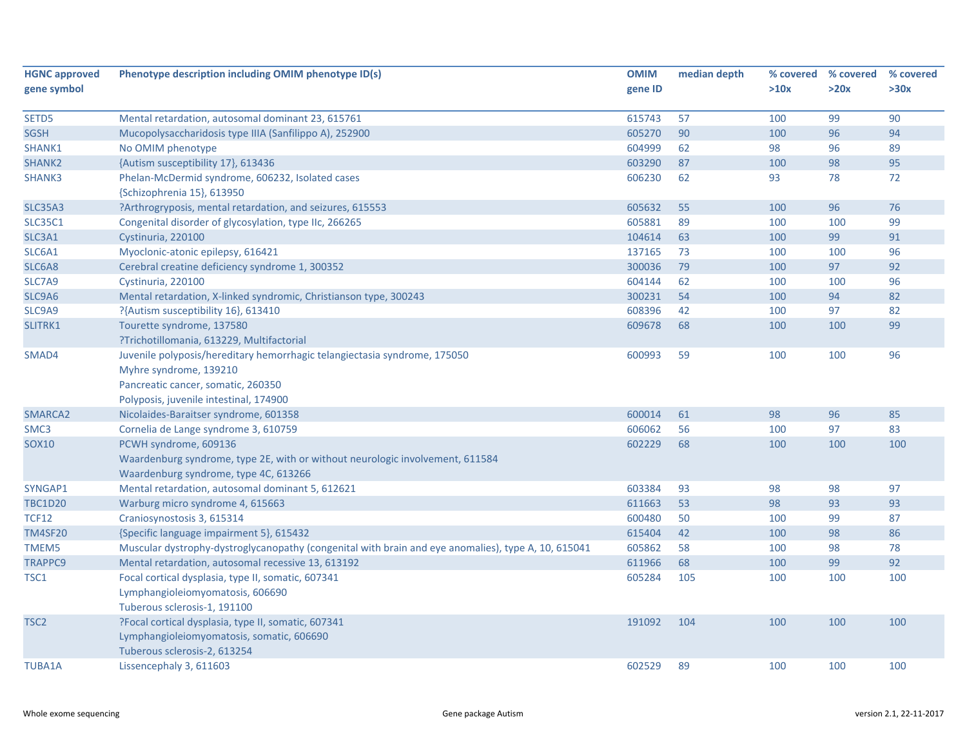| <b>HGNC approved</b> | Phenotype description including OMIM phenotype ID(s)                                                | <b>OMIM</b> | median depth |      | % covered % covered | % covered |
|----------------------|-----------------------------------------------------------------------------------------------------|-------------|--------------|------|---------------------|-----------|
| gene symbol          |                                                                                                     | gene ID     |              | >10x | >20x                | >30x      |
|                      |                                                                                                     |             |              |      |                     |           |
| SETD5                | Mental retardation, autosomal dominant 23, 615761                                                   | 615743      | 57           | 100  | 99                  | 90        |
| <b>SGSH</b>          | Mucopolysaccharidosis type IIIA (Sanfilippo A), 252900                                              | 605270      | 90           | 100  | 96                  | 94        |
| SHANK1               | No OMIM phenotype                                                                                   | 604999      | 62           | 98   | 96                  | 89        |
| SHANK <sub>2</sub>   | {Autism susceptibility 17}, 613436                                                                  | 603290      | 87           | 100  | 98                  | 95        |
| SHANK3               | Phelan-McDermid syndrome, 606232, Isolated cases                                                    | 606230      | 62           | 93   | 78                  | 72        |
|                      | {Schizophrenia 15}, 613950                                                                          |             |              |      |                     |           |
| <b>SLC35A3</b>       | ?Arthrogryposis, mental retardation, and seizures, 615553                                           | 605632      | 55           | 100  | 96                  | 76        |
| <b>SLC35C1</b>       | Congenital disorder of glycosylation, type IIc, 266265                                              | 605881      | 89           | 100  | 100                 | 99        |
| SLC3A1               | Cystinuria, 220100                                                                                  | 104614      | 63           | 100  | 99                  | 91        |
| SLC6A1               | Myoclonic-atonic epilepsy, 616421                                                                   | 137165      | 73           | 100  | 100                 | 96        |
| SLC6A8               | Cerebral creatine deficiency syndrome 1, 300352                                                     | 300036      | 79           | 100  | 97                  | 92        |
| SLC7A9               | Cystinuria, 220100                                                                                  | 604144      | 62           | 100  | 100                 | 96        |
| SLC9A6               | Mental retardation, X-linked syndromic, Christianson type, 300243                                   | 300231      | 54           | 100  | 94                  | 82        |
| SLC9A9               | ?{Autism susceptibility 16}, 613410                                                                 | 608396      | 42           | 100  | 97                  | 82        |
| SLITRK1              | Tourette syndrome, 137580                                                                           | 609678      | 68           | 100  | 100                 | 99        |
|                      | ?Trichotillomania, 613229, Multifactorial                                                           |             |              |      |                     |           |
| SMAD4                | Juvenile polyposis/hereditary hemorrhagic telangiectasia syndrome, 175050                           | 600993      | 59           | 100  | 100                 | 96        |
|                      | Myhre syndrome, 139210                                                                              |             |              |      |                     |           |
|                      | Pancreatic cancer, somatic, 260350                                                                  |             |              |      |                     |           |
|                      | Polyposis, juvenile intestinal, 174900                                                              |             |              |      |                     |           |
| SMARCA2              | Nicolaides-Baraitser syndrome, 601358                                                               | 600014      | 61           | 98   | 96                  | 85        |
| SMC <sub>3</sub>     | Cornelia de Lange syndrome 3, 610759                                                                | 606062      | 56           | 100  | 97                  | 83        |
| <b>SOX10</b>         | PCWH syndrome, 609136                                                                               | 602229      | 68           | 100  | 100                 | 100       |
|                      | Waardenburg syndrome, type 2E, with or without neurologic involvement, 611584                       |             |              |      |                     |           |
|                      | Waardenburg syndrome, type 4C, 613266                                                               |             |              |      |                     |           |
| SYNGAP1              | Mental retardation, autosomal dominant 5, 612621                                                    | 603384      | 93           | 98   | 98                  | 97        |
| <b>TBC1D20</b>       | Warburg micro syndrome 4, 615663                                                                    | 611663      | 53           | 98   | 93                  | 93        |
| <b>TCF12</b>         | Craniosynostosis 3, 615314                                                                          | 600480      | 50           | 100  | 99                  | 87        |
| <b>TM4SF20</b>       | {Specific language impairment 5}, 615432                                                            | 615404      | 42           | 100  | 98                  | 86        |
| <b>TMEM5</b>         | Muscular dystrophy-dystroglycanopathy (congenital with brain and eye anomalies), type A, 10, 615041 | 605862      | 58           | 100  | 98                  | 78        |
| <b>TRAPPC9</b>       | Mental retardation, autosomal recessive 13, 613192                                                  | 611966      | 68           | 100  | 99                  | 92        |
| TSC1                 | Focal cortical dysplasia, type II, somatic, 607341                                                  | 605284      | 105          | 100  | 100                 | 100       |
|                      | Lymphangioleiomyomatosis, 606690                                                                    |             |              |      |                     |           |
|                      | Tuberous sclerosis-1, 191100                                                                        |             |              |      |                     |           |
| TSC2                 | ?Focal cortical dysplasia, type II, somatic, 607341                                                 | 191092      | 104          | 100  | 100                 | 100       |
|                      | Lymphangioleiomyomatosis, somatic, 606690                                                           |             |              |      |                     |           |
|                      | Tuberous sclerosis-2, 613254                                                                        |             |              |      |                     |           |
| <b>TUBA1A</b>        | Lissencephaly 3, 611603                                                                             | 602529      | 89           | 100  | 100                 | 100       |